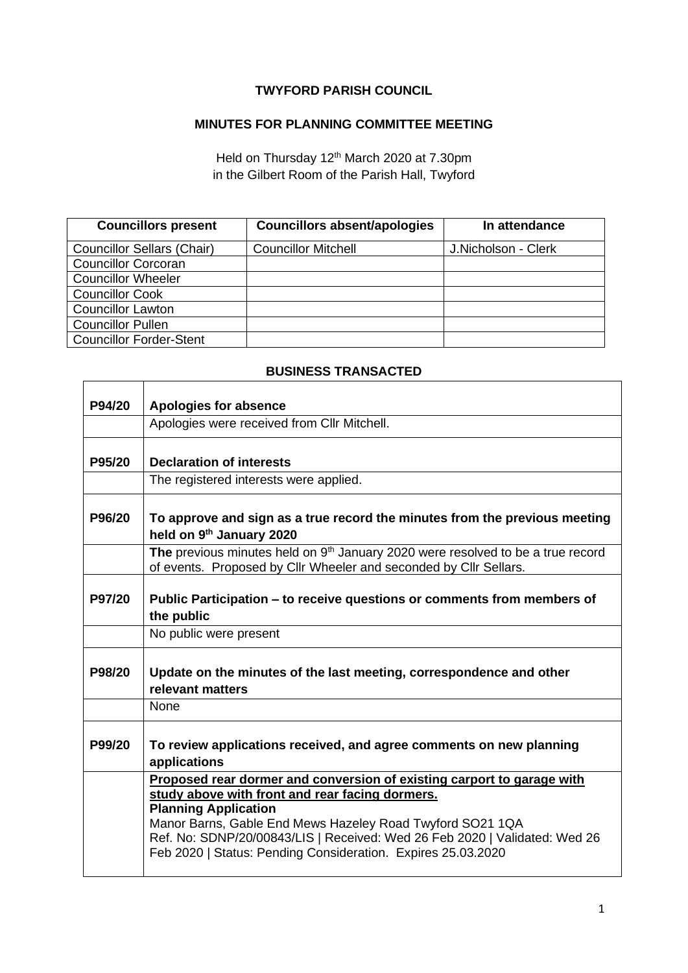## **TWYFORD PARISH COUNCIL**

## **MINUTES FOR PLANNING COMMITTEE MEETING**

Held on Thursday 12<sup>th</sup> March 2020 at 7.30pm in the Gilbert Room of the Parish Hall, Twyford

| <b>Councillors present</b>        | <b>Councillors absent/apologies</b> | In attendance       |
|-----------------------------------|-------------------------------------|---------------------|
| <b>Councillor Sellars (Chair)</b> | <b>Councillor Mitchell</b>          | J.Nicholson - Clerk |
| <b>Councillor Corcoran</b>        |                                     |                     |
| <b>Councillor Wheeler</b>         |                                     |                     |
| <b>Councillor Cook</b>            |                                     |                     |
| <b>Councillor Lawton</b>          |                                     |                     |
| <b>Councillor Pullen</b>          |                                     |                     |
| <b>Councillor Forder-Stent</b>    |                                     |                     |

## **BUSINESS TRANSACTED**

| P94/20 | <b>Apologies for absence</b>                                                                                                                                                                                                                                                                                                                                        |
|--------|---------------------------------------------------------------------------------------------------------------------------------------------------------------------------------------------------------------------------------------------------------------------------------------------------------------------------------------------------------------------|
|        | Apologies were received from Cllr Mitchell.                                                                                                                                                                                                                                                                                                                         |
|        |                                                                                                                                                                                                                                                                                                                                                                     |
| P95/20 | <b>Declaration of interests</b>                                                                                                                                                                                                                                                                                                                                     |
|        | The registered interests were applied.                                                                                                                                                                                                                                                                                                                              |
| P96/20 | To approve and sign as a true record the minutes from the previous meeting<br>held on 9th January 2020                                                                                                                                                                                                                                                              |
|        | The previous minutes held on 9 <sup>th</sup> January 2020 were resolved to be a true record<br>of events. Proposed by Cllr Wheeler and seconded by Cllr Sellars.                                                                                                                                                                                                    |
| P97/20 | Public Participation – to receive questions or comments from members of<br>the public                                                                                                                                                                                                                                                                               |
|        | No public were present                                                                                                                                                                                                                                                                                                                                              |
| P98/20 | Update on the minutes of the last meeting, correspondence and other<br>relevant matters                                                                                                                                                                                                                                                                             |
|        | None                                                                                                                                                                                                                                                                                                                                                                |
| P99/20 | To review applications received, and agree comments on new planning<br>applications                                                                                                                                                                                                                                                                                 |
|        | Proposed rear dormer and conversion of existing carport to garage with<br>study above with front and rear facing dormers.<br><b>Planning Application</b><br>Manor Barns, Gable End Mews Hazeley Road Twyford SO21 1QA<br>Ref. No: SDNP/20/00843/LIS   Received: Wed 26 Feb 2020   Validated: Wed 26<br>Feb 2020   Status: Pending Consideration. Expires 25.03.2020 |

 $\overline{\mathsf{L}}$